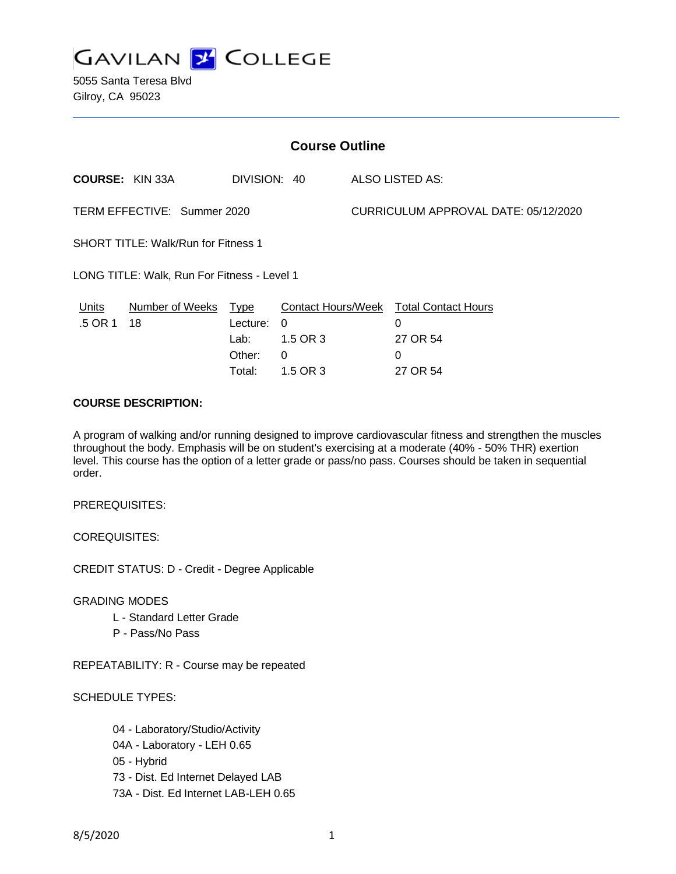

5055 Santa Teresa Blvd Gilroy, CA 95023

| <b>Course Outline</b>                       |                        |              |          |                                      |                                        |
|---------------------------------------------|------------------------|--------------|----------|--------------------------------------|----------------------------------------|
|                                             | <b>COURSE: KIN 33A</b> | DIVISION: 40 |          |                                      | ALSO LISTED AS:                        |
| TERM EFFECTIVE: Summer 2020                 |                        |              |          | CURRICULUM APPROVAL DATE: 05/12/2020 |                                        |
| <b>SHORT TITLE: Walk/Run for Fitness 1</b>  |                        |              |          |                                      |                                        |
| LONG TITLE: Walk, Run For Fitness - Level 1 |                        |              |          |                                      |                                        |
| <u>Units</u>                                | Number of Weeks Type   |              |          |                                      | Contact Hours/Week Total Contact Hours |
| .5 OR 1                                     | 18                     | Lecture:     | $\Omega$ |                                      | $\Omega$                               |
|                                             |                        | Lab:         | 1.5 OR 3 |                                      | 27 OR 54                               |
|                                             |                        | Other:       | 0        |                                      | 0                                      |
|                                             |                        | Total:       | 1.5 OR 3 |                                      | 27 OR 54                               |

### **COURSE DESCRIPTION:**

A program of walking and/or running designed to improve cardiovascular fitness and strengthen the muscles throughout the body. Emphasis will be on student's exercising at a moderate (40% - 50% THR) exertion level. This course has the option of a letter grade or pass/no pass. Courses should be taken in sequential order.

PREREQUISITES:

COREQUISITES:

CREDIT STATUS: D - Credit - Degree Applicable

GRADING MODES

- L Standard Letter Grade
- P Pass/No Pass

REPEATABILITY: R - Course may be repeated

SCHEDULE TYPES:

04 - Laboratory/Studio/Activity 04A - Laboratory - LEH 0.65 05 - Hybrid 73 - Dist. Ed Internet Delayed LAB 73A - Dist. Ed Internet LAB-LEH 0.65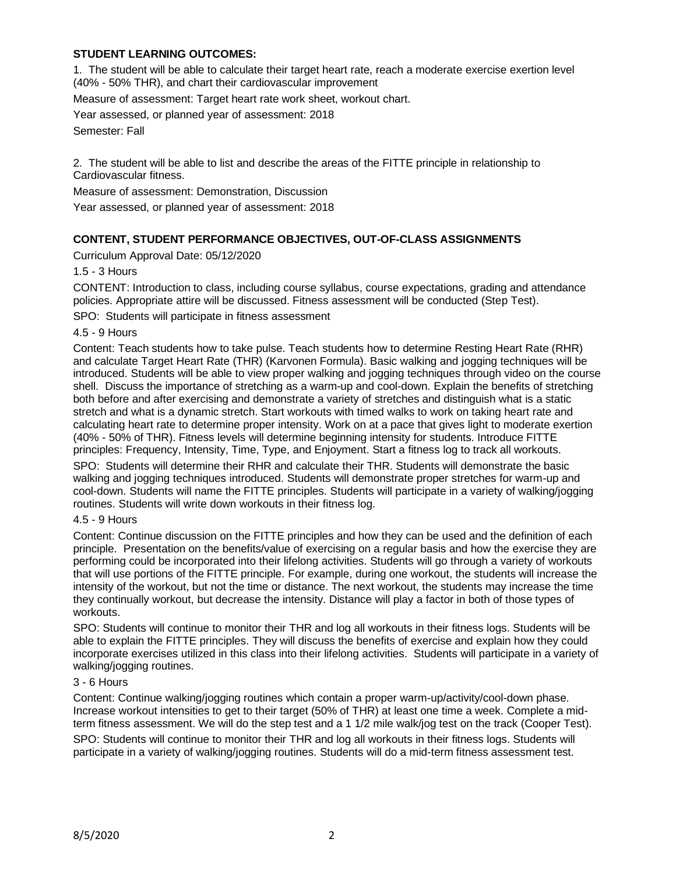# **STUDENT LEARNING OUTCOMES:**

1. The student will be able to calculate their target heart rate, reach a moderate exercise exertion level (40% - 50% THR), and chart their cardiovascular improvement

Measure of assessment: Target heart rate work sheet, workout chart.

Year assessed, or planned year of assessment: 2018

Semester: Fall

2. The student will be able to list and describe the areas of the FITTE principle in relationship to Cardiovascular fitness.

Measure of assessment: Demonstration, Discussion

Year assessed, or planned year of assessment: 2018

## **CONTENT, STUDENT PERFORMANCE OBJECTIVES, OUT-OF-CLASS ASSIGNMENTS**

Curriculum Approval Date: 05/12/2020

1.5 - 3 Hours

CONTENT: Introduction to class, including course syllabus, course expectations, grading and attendance policies. Appropriate attire will be discussed. Fitness assessment will be conducted (Step Test).

SPO: Students will participate in fitness assessment

4.5 - 9 Hours

Content: Teach students how to take pulse. Teach students how to determine Resting Heart Rate (RHR) and calculate Target Heart Rate (THR) (Karvonen Formula). Basic walking and jogging techniques will be introduced. Students will be able to view proper walking and jogging techniques through video on the course shell. Discuss the importance of stretching as a warm-up and cool-down. Explain the benefits of stretching both before and after exercising and demonstrate a variety of stretches and distinguish what is a static stretch and what is a dynamic stretch. Start workouts with timed walks to work on taking heart rate and calculating heart rate to determine proper intensity. Work on at a pace that gives light to moderate exertion (40% - 50% of THR). Fitness levels will determine beginning intensity for students. Introduce FITTE principles: Frequency, Intensity, Time, Type, and Enjoyment. Start a fitness log to track all workouts.

SPO: Students will determine their RHR and calculate their THR. Students will demonstrate the basic walking and jogging techniques introduced. Students will demonstrate proper stretches for warm-up and cool-down. Students will name the FITTE principles. Students will participate in a variety of walking/jogging routines. Students will write down workouts in their fitness log.

#### 4.5 - 9 Hours

Content: Continue discussion on the FITTE principles and how they can be used and the definition of each principle. Presentation on the benefits/value of exercising on a regular basis and how the exercise they are performing could be incorporated into their lifelong activities. Students will go through a variety of workouts that will use portions of the FITTE principle. For example, during one workout, the students will increase the intensity of the workout, but not the time or distance. The next workout, the students may increase the time they continually workout, but decrease the intensity. Distance will play a factor in both of those types of workouts.

SPO: Students will continue to monitor their THR and log all workouts in their fitness logs. Students will be able to explain the FITTE principles. They will discuss the benefits of exercise and explain how they could incorporate exercises utilized in this class into their lifelong activities. Students will participate in a variety of walking/jogging routines.

#### 3 - 6 Hours

Content: Continue walking/jogging routines which contain a proper warm-up/activity/cool-down phase. Increase workout intensities to get to their target (50% of THR) at least one time a week. Complete a midterm fitness assessment. We will do the step test and a 1 1/2 mile walk/jog test on the track (Cooper Test). SPO: Students will continue to monitor their THR and log all workouts in their fitness logs. Students will participate in a variety of walking/jogging routines. Students will do a mid-term fitness assessment test.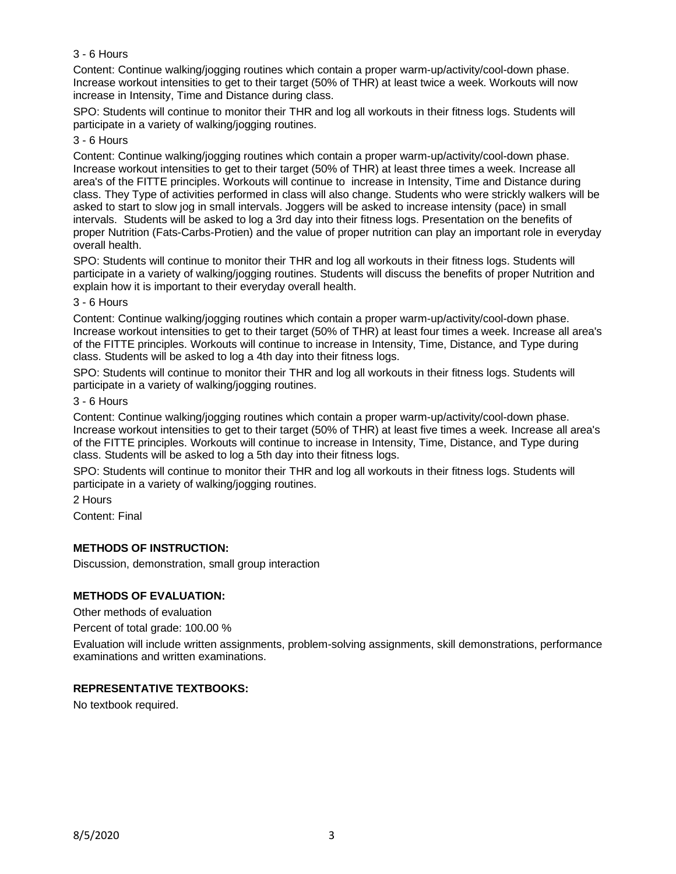## 3 - 6 Hours

Content: Continue walking/jogging routines which contain a proper warm-up/activity/cool-down phase. Increase workout intensities to get to their target (50% of THR) at least twice a week. Workouts will now increase in Intensity, Time and Distance during class.

SPO: Students will continue to monitor their THR and log all workouts in their fitness logs. Students will participate in a variety of walking/jogging routines.

### 3 - 6 Hours

Content: Continue walking/jogging routines which contain a proper warm-up/activity/cool-down phase. Increase workout intensities to get to their target (50% of THR) at least three times a week. Increase all area's of the FITTE principles. Workouts will continue to increase in Intensity, Time and Distance during class. They Type of activities performed in class will also change. Students who were strickly walkers will be asked to start to slow jog in small intervals. Joggers will be asked to increase intensity (pace) in small intervals. Students will be asked to log a 3rd day into their fitness logs. Presentation on the benefits of proper Nutrition (Fats-Carbs-Protien) and the value of proper nutrition can play an important role in everyday overall health.

SPO: Students will continue to monitor their THR and log all workouts in their fitness logs. Students will participate in a variety of walking/jogging routines. Students will discuss the benefits of proper Nutrition and explain how it is important to their everyday overall health.

#### 3 - 6 Hours

Content: Continue walking/jogging routines which contain a proper warm-up/activity/cool-down phase. Increase workout intensities to get to their target (50% of THR) at least four times a week. Increase all area's of the FITTE principles. Workouts will continue to increase in Intensity, Time, Distance, and Type during class. Students will be asked to log a 4th day into their fitness logs.

SPO: Students will continue to monitor their THR and log all workouts in their fitness logs. Students will participate in a variety of walking/jogging routines.

# 3 - 6 Hours

Content: Continue walking/jogging routines which contain a proper warm-up/activity/cool-down phase. Increase workout intensities to get to their target (50% of THR) at least five times a week. Increase all area's of the FITTE principles. Workouts will continue to increase in Intensity, Time, Distance, and Type during class. Students will be asked to log a 5th day into their fitness logs.

SPO: Students will continue to monitor their THR and log all workouts in their fitness logs. Students will participate in a variety of walking/jogging routines.

2 Hours

Content: Final

## **METHODS OF INSTRUCTION:**

Discussion, demonstration, small group interaction

#### **METHODS OF EVALUATION:**

Other methods of evaluation

Percent of total grade: 100.00 %

Evaluation will include written assignments, problem-solving assignments, skill demonstrations, performance examinations and written examinations.

## **REPRESENTATIVE TEXTBOOKS:**

No textbook required.